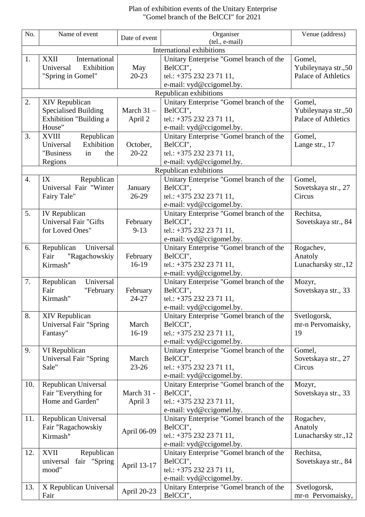## Plan of exhibition events of the Unitary Enterprise "Gomel branch of the BelCCI" for 2021

| No.              | Name of event                                                   | Date of event | Organiser<br>(tel., e-mail)                                         | Venue (address)      |  |  |
|------------------|-----------------------------------------------------------------|---------------|---------------------------------------------------------------------|----------------------|--|--|
|                  | <b>International exhibitions</b>                                |               |                                                                     |                      |  |  |
| 1.               | International<br><b>XXII</b>                                    |               | Unitary Enterprise "Gomel branch of the                             | Gomel,               |  |  |
|                  | Exhibition<br>Universal                                         | May           | BelCCI",                                                            | Yubileynaya str.,50  |  |  |
|                  | "Spring in Gomel"                                               | $20 - 23$     | tel.: +375 232 23 71 11,                                            | Palace of Athletics  |  |  |
|                  |                                                                 |               | e-mail: vyd@ccigomel.by.                                            |                      |  |  |
|                  |                                                                 |               | Republican exhibitions                                              |                      |  |  |
| 2.               | XIV Republican                                                  |               | Unitary Enterprise "Gomel branch of the                             | Gomel,               |  |  |
|                  | <b>Specialised Building</b>                                     | March $31 -$  | BelCCI".                                                            | Yubileynaya str.,50  |  |  |
|                  | Exhibition "Building a                                          | April 2       | tel.: +375 232 23 71 11,                                            | Palace of Athletics  |  |  |
| 3.               | House"<br><b>XVIII</b>                                          |               | e-mail: vyd@ccigomel.by.<br>Unitary Enterprise "Gomel branch of the | Gomel,               |  |  |
|                  | Republican<br>Exhibition<br>Universal                           | October,      | BelCCI",                                                            | Lange str., 17       |  |  |
|                  | "Business<br>in<br>the                                          | $20 - 22$     | tel.: +375 232 23 71 11,                                            |                      |  |  |
|                  | Regions                                                         |               | e-mail: vyd@ccigomel.by.                                            |                      |  |  |
|                  |                                                                 |               | Republican exhibitions                                              |                      |  |  |
| $\overline{4}$ . | IX<br>Republican                                                |               | Unitary Enterprise "Gomel branch of the                             | Gomel,               |  |  |
|                  | Universal Fair "Winter                                          | January       | BelCCI",                                                            | Sovetskaya str., 27  |  |  |
|                  | Fairy Tale"                                                     | $26-29$       | tel.: +375 232 23 71 11,                                            | Circus               |  |  |
|                  |                                                                 |               | e-mail: vyd@ccigomel.by.                                            |                      |  |  |
| 5.               | IV Republican                                                   |               | Unitary Enterprise "Gomel branch of the                             | Rechitsa,            |  |  |
|                  | <b>Universal Fair "Gifts</b>                                    | February      | BelCCI",                                                            | Sovetskaya str., 84  |  |  |
|                  | for Loved Ones"                                                 | $9 - 13$      | tel.: +375 232 23 71 11,                                            |                      |  |  |
| 6.               | Republican<br>Universal                                         |               | e-mail: vyd@ccigomel.by.<br>Unitary Enterprise "Gomel branch of the | Rogachev,            |  |  |
|                  | "Ragachowskiy<br>Fair                                           | February      | BelCCI",                                                            | Anatoly              |  |  |
|                  | Kirmash"                                                        | $16-19$       | tel.: +375 232 23 71 11,                                            | Lunacharsky str., 12 |  |  |
|                  |                                                                 |               | e-mail: vyd@ccigomel.by.                                            |                      |  |  |
| 7.               | Universal<br>Republican                                         |               | Unitary Enterprise "Gomel branch of the                             | Mozyr,               |  |  |
|                  | Fair<br>"February                                               | February      | BelCCI",                                                            | Sovetskaya str., 33  |  |  |
|                  | Kirmash"                                                        | 24-27         | tel.: +375 232 23 71 11,                                            |                      |  |  |
|                  |                                                                 |               | e-mail: vyd@ccigomel.by.                                            |                      |  |  |
| 8.               | XIV Republican                                                  |               | Unitary Enterprise "Gomel branch of the                             | Svetlogorsk,         |  |  |
|                  | <b>Universal Fair "Spring</b>                                   | March         | BelCCI",                                                            | mr-n Pervomaisky,    |  |  |
|                  | Fantasy"                                                        | $16-19$       | tel.: +375 232 23 71 11,                                            | 19                   |  |  |
| 9.               |                                                                 |               | e-mail: vyd@ccigomel.by.<br>Unitary Enterprise "Gomel branch of the | Gomel,               |  |  |
|                  | VI Republican<br>Universal Fair "Spring                         | March         | BelCCI",                                                            | Sovetskaya str., 27  |  |  |
|                  | Sale"                                                           | $23 - 26$     | tel.: +375 232 23 71 11,                                            | Circus               |  |  |
|                  |                                                                 |               | e-mail: vyd@ccigomel.by.                                            |                      |  |  |
| 10.              | Republican Universal                                            |               | Unitary Enterprise "Gomel branch of the                             | Mozyr,               |  |  |
|                  | Fair "Everything for                                            | March 31 -    | BelCCI",                                                            | Sovetskaya str., 33  |  |  |
|                  | Home and Garden"                                                | April 3       | tel.: +375 232 23 71 11,                                            |                      |  |  |
|                  |                                                                 |               | e-mail: vyd@ccigomel.by.                                            |                      |  |  |
| 11.              | Republican Universal                                            |               | Unitary Enterprise "Gomel branch of the                             | Rogachev,            |  |  |
|                  | Fair "Ragachowskiy                                              | April 06-09   | BelCCI",                                                            | Anatoly              |  |  |
|                  | Kirmash"                                                        |               | tel.: +375 232 23 71 11,                                            | Lunacharsky str., 12 |  |  |
| 12.              |                                                                 |               | e-mail: vyd@ccigomel.by.<br>Unitary Enterprise "Gomel branch of the | Rechitsa,            |  |  |
|                  | Republican<br><b>XVII</b><br>fair "Spring<br>universal<br>mood" | April 13-17   | BelCCI",                                                            | Sovetskaya str., 84  |  |  |
|                  |                                                                 |               | tel.: +375 232 23 71 11,                                            |                      |  |  |
|                  |                                                                 |               | e-mail: vyd@ccigomel.by.                                            |                      |  |  |
| 13.              | X Republican Universal                                          |               | Unitary Enterprise "Gomel branch of the                             | Svetlogorsk,         |  |  |
|                  | Fair                                                            | April 20-23   | BelCCI",                                                            | mr-n Pervomaisky,    |  |  |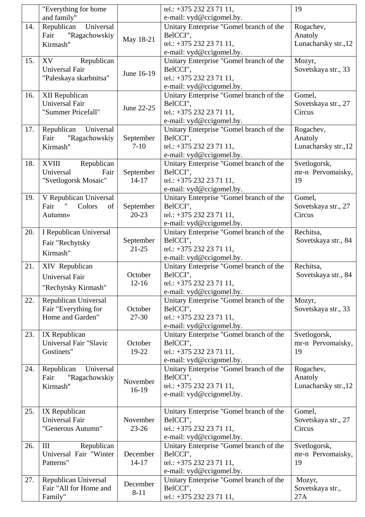|     | "Everything for home"      |            | tel.: $+375$ 232 23 71 11,                                          | 19                   |
|-----|----------------------------|------------|---------------------------------------------------------------------|----------------------|
|     | and family"                |            | e-mail: vyd@ccigomel.by.                                            |                      |
| 14. | Universal<br>Republican    |            | Unitary Enterprise "Gomel branch of the                             | Rogachev,            |
|     | Fair<br>"Ragachowskiy      | May 18-21  | BelCCI",                                                            | Anatoly              |
|     | Kirmash"                   |            | tel.: +375 232 23 71 11,                                            | Lunacharsky str., 12 |
|     |                            |            | e-mail: vyd@ccigomel.by.                                            |                      |
| 15. | XV<br>Republican           |            | Unitary Enterprise "Gomel branch of the                             | Mozyr,               |
|     | Universal Fair             | June 16-19 | BelCCI",                                                            | Sovetskaya str., 33  |
|     | "Paleskaya skarbnitsa"     |            | tel.: +375 232 23 71 11,                                            |                      |
|     |                            |            | e-mail: vyd@ccigomel.by.                                            |                      |
| 16. | XII Republican             |            | Unitary Enterprise "Gomel branch of the                             | Gomel,               |
|     | <b>Universal Fair</b>      | June 22-25 | BelCCI",                                                            | Sovetskaya str., 27  |
|     | "Summer Pricefall"         |            | tel.: +375 232 23 71 11,                                            | Circus               |
|     |                            |            | e-mail: vyd@ccigomel.by.                                            |                      |
| 17. | Universal<br>Republican    |            | Unitary Enterprise "Gomel branch of the                             | Rogachev,            |
|     | Fair<br>"Ragachowskiy      | September  | BelCCI",                                                            | Anatoly              |
|     | Kirmash"                   | $7 - 10$   | tel.: +375 232 23 71 11,                                            | Lunacharsky str., 12 |
|     |                            |            | e-mail: vyd@ccigomel.by.                                            |                      |
| 18. | Republican<br><b>XVIII</b> |            | Unitary Enterprise "Gomel branch of the                             | Svetlogorsk,         |
|     | Universal<br>Fair          | September  | BelCCI",                                                            | mr-n Pervomaisky,    |
|     | "Svetlogorsk Mosaic"       | $14 - 17$  | tel.: +375 232 23 71 11,                                            | 19                   |
|     |                            |            | e-mail: vyd@ccigomel.by.                                            |                      |
| 19. | V Republican Universal     |            | Unitary Enterprise "Gomel branch of the                             | Gomel,               |
|     | Fair<br>Colors<br>of       | September  | BelCCI",                                                            | Sovetskaya str., 27  |
|     | Autumn»                    | $20 - 23$  | tel.: +375 232 23 71 11,                                            | Circus               |
|     |                            |            | e-mail: vyd@ccigomel.by.                                            |                      |
| 20. | I Republican Universal     |            | Unitary Enterprise "Gomel branch of the                             | Rechitsa,            |
|     |                            | September  | BelCCI",                                                            | Sovetskaya str., 84  |
|     | Fair "Rechytsky            | $21 - 25$  | tel.: +375 232 23 71 11,                                            |                      |
|     | Kirmash"                   |            |                                                                     |                      |
| 21. | XIV Republican             |            | e-mail: vyd@ccigomel.by.<br>Unitary Enterprise "Gomel branch of the | Rechitsa.            |
|     | <b>Universal Fair</b>      | October    | BelCCI",                                                            | Sovetskaya str., 84  |
|     |                            | $12 - 16$  | tel.: +375 232 23 71 11,                                            |                      |
|     | "Rechytsky Kirmash"        |            | e-mail: vyd@ccigomel.by.                                            |                      |
| 22. | Republican Universal       |            | Unitary Enterprise "Gomel branch of the                             | Mozyr,               |
|     | Fair "Everything for       | October    | BelCCI",                                                            | Sovetskaya str., 33  |
|     | Home and Garden"           | 27-30      | tel.: +375 232 23 71 11,                                            |                      |
|     |                            |            | e-mail: vyd@ccigomel.by.                                            |                      |
| 23. | IX Republican              |            | Unitary Enterprise "Gomel branch of the                             | Svetlogorsk,         |
|     | Universal Fair "Slavic     | October    | BelCCI",                                                            | mr-n Pervomaisky,    |
|     | Gostinets"                 | 19-22      | tel.: +375 232 23 71 11,                                            | 19                   |
|     |                            |            | e-mail: vyd@ccigomel.by.                                            |                      |
| 24. | Universal<br>Republican    |            | Unitary Enterprise "Gomel branch of the                             | Rogachev,            |
|     | "Ragachowskiy<br>Fair      |            | BelCCI",                                                            | Anatoly              |
|     | Kirmash"                   | November   | tel.: +375 232 23 71 11,                                            | Lunacharsky str., 12 |
|     |                            | 16-19      | e-mail: vyd@ccigomel.by.                                            |                      |
|     |                            |            |                                                                     |                      |
| 25. | IX Republican              |            | Unitary Enterprise "Gomel branch of the                             | Gomel,               |
|     | Universal Fair             | November   | BelCCI",                                                            | Sovetskaya str., 27  |
|     | "Generous Autumn"          | $23 - 26$  | tel.: +375 232 23 71 11,                                            | Circus               |
|     |                            |            | e-mail: vyd@ccigomel.by.                                            |                      |
| 26. | III<br>Republican          |            | Unitary Enterprise "Gomel branch of the                             | Svetlogorsk,         |
|     | Universal Fair "Winter     | December   | BelCCI",                                                            | mr-n Pervomaisky,    |
|     | Patterns"                  | $14 - 17$  | tel.: +375 232 23 71 11,                                            | 19                   |
|     |                            |            | e-mail: vyd@ccigomel.by.                                            |                      |
| 27. | Republican Universal       |            | Unitary Enterprise "Gomel branch of the                             | Mozyr,               |
|     | Fair "All for Home and     | December   | BelCCI",                                                            | Sovetskaya str.,     |
|     | Family"                    | $8 - 11$   | tel.: +375 232 23 71 11,                                            | 27A                  |
|     |                            |            |                                                                     |                      |